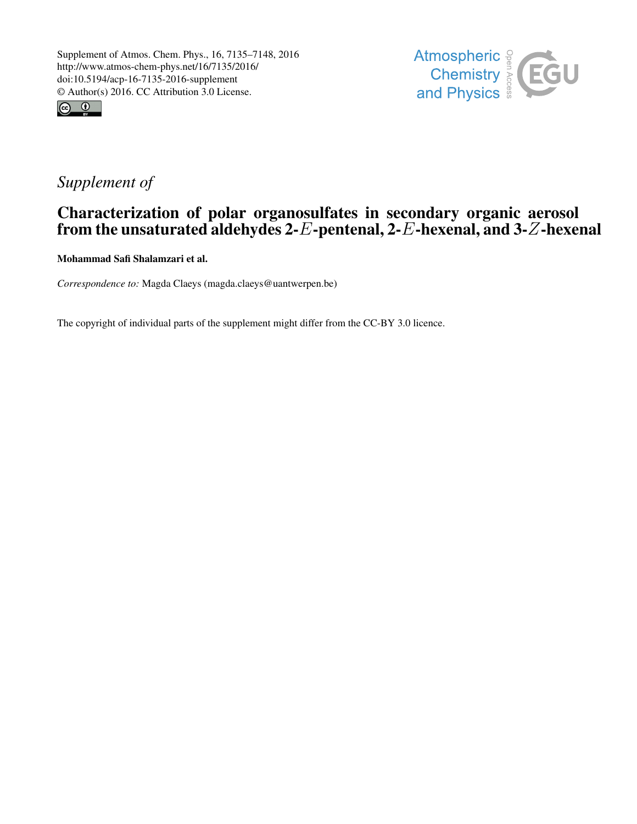



## *Supplement of*

## Characterization of polar organosulfates in secondary organic aerosol from the unsaturated aldehydes 2-E-pentenal, 2-E-hexenal, and 3-Z-hexenal

Mohammad Safi Shalamzari et al.

*Correspondence to:* Magda Claeys (magda.claeys@uantwerpen.be)

The copyright of individual parts of the supplement might differ from the CC-BY 3.0 licence.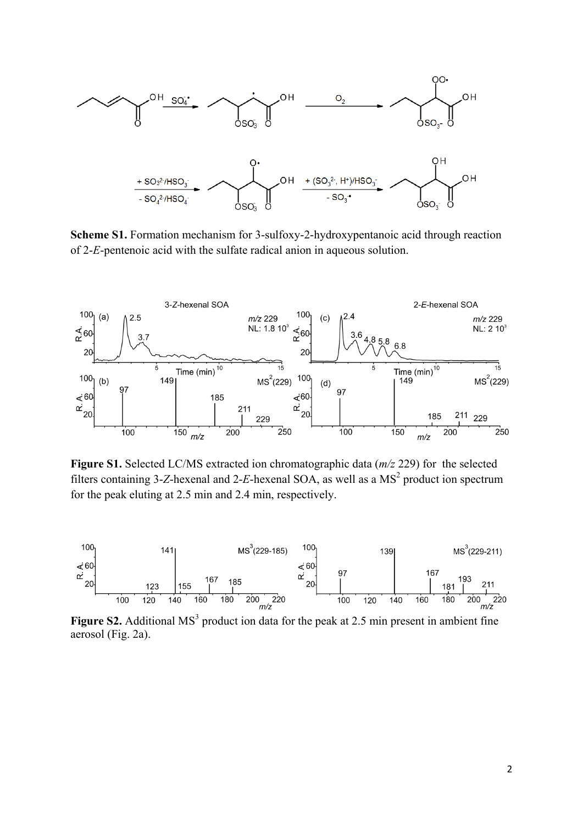

**Scheme S1.** Formation mechanism for 3-sulfoxy-2-hydroxypentanoic acid through reaction of 2-*E*-pentenoic acid with the sulfate radical anion in aqueous solution.



**Figure S1.** Selected LC/MS extracted ion chromatographic data (*m/z* 229) for the selected filters containing 3-*Z*-hexenal and 2-*E*-hexenal SOA, as well as a  $MS<sup>2</sup>$  product ion spectrum for the peak eluting at 2.5 min and 2.4 min, respectively.



aerosol (Fig. 2a).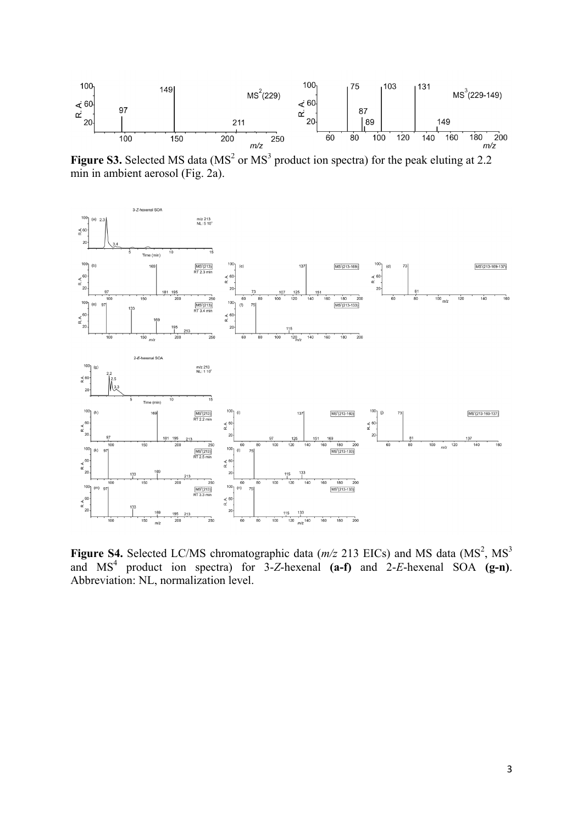

Figure S3. Selected MS data (MS<sup>2</sup> or MS<sup>3</sup> product ion spectra) for the peak eluting at 2.2 min in ambient aerosol (Fig. 2a).



**Figure S4.** Selected LC/MS chromatographic data  $(m/z 213 \text{ EICs})$  and MS data  $(MS<sup>2</sup>, MS<sup>3</sup>)$ and  $MS<sup>4</sup>$  product ion spectra) for  $3-Z$ -hexenal **(a-f)** and  $2-E$ -hexenal  $SOA$  **(g-n)**. Abbreviation: NL, normalization level.